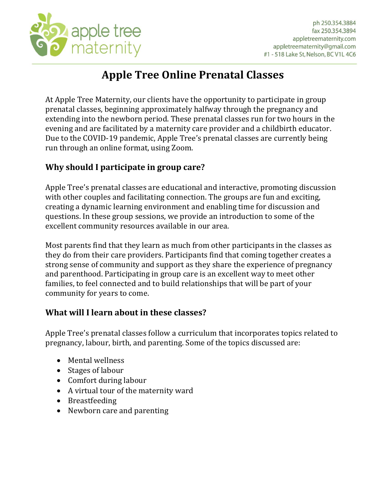

## **Apple Tree Online Prenatal Classes**

At Apple Tree Maternity, our clients have the opportunity to participate in group prenatal classes, beginning approximately halfway through the pregnancy and extending into the newborn period. These prenatal classes run for two hours in the evening and are facilitated by a maternity care provider and a childbirth educator. Due to the COVID-19 pandemic, Apple Tree's prenatal classes are currently being run through an online format, using Zoom.

## **Why should I participate in group care?**

Apple Tree's prenatal classes are educational and interactive, promoting discussion with other couples and facilitating connection. The groups are fun and exciting, creating a dynamic learning environment and enabling time for discussion and questions. In these group sessions, we provide an introduction to some of the excellent community resources available in our area.

Most parents find that they learn as much from other participants in the classes as they do from their care providers. Participants find that coming together creates a strong sense of community and support as they share the experience of pregnancy and parenthood. Participating in group care is an excellent way to meet other families, to feel connected and to build relationships that will be part of your community for years to come.

## **What will I learn about in these classes?**

Apple Tree's prenatal classes follow a curriculum that incorporates topics related to pregnancy, labour, birth, and parenting. Some of the topics discussed are:

- Mental wellness
- Stages of labour
- Comfort during labour
- A virtual tour of the maternity ward
- Breastfeeding
- Newborn care and parenting